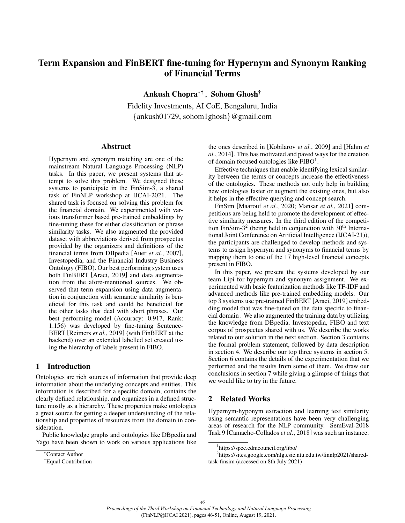# Term Expansion and FinBERT fine-tuning for Hypernym and Synonym Ranking of Financial Terms

Ankush Chopra∗† , Sohom Ghosh†

Fidelity Investments, AI CoE, Bengaluru, India {ankush01729, sohom1ghosh}@gmail.com

#### Abstract

Hypernym and synonym matching are one of the mainstream Natural Language Processing (NLP) tasks. In this paper, we present systems that attempt to solve this problem. We designed these systems to participate in the FinSim-3, a shared task of FinNLP workshop at IJCAI-2021. The shared task is focused on solving this problem for the financial domain. We experimented with various transformer based pre-trained embeddings by fine-tuning these for either classification or phrase similarity tasks. We also augmented the provided dataset with abbreviations derived from prospectus provided by the organizers and definitions of the financial terms from DBpedia [Auer *et al.*, 2007], Investopedia, and the Financial Industry Business Ontology (FIBO). Our best performing system uses both FinBERT [Araci, 2019] and data augmentation from the afore-mentioned sources. We observed that term expansion using data augmentation in conjunction with semantic similarity is beneficial for this task and could be beneficial for the other tasks that deal with short phrases. Our best performing model (Accuracy: 0.917, Rank: 1.156) was developed by fine-tuning Sentence-BERT [Reimers *et al.*, 2019] (with FinBERT at the backend) over an extended labelled set created using the hierarchy of labels present in FIBO.

#### 1 Introduction

Ontologies are rich sources of information that provide deep information about the underlying concepts and entities. This information is described for a specific domain, contains the clearly defined relationship, and organizes in a defined structure mostly as a hierarchy. These properties make ontologies a great source for getting a deeper understanding of the relationship and properties of resources from the domain in consideration.

Public knowledge graphs and ontologies like DBpedia and Yago have been shown to work on various applications like the ones described in [Kobilarov *et al.*, 2009] and [Hahm *et al.*, 2014]. This has motivated and paved ways for the creation of domain focused ontologies like FIBO<sup>1</sup>.

Effective techniques that enable identifying lexical similarity between the terms or concepts increase the effectiveness of the ontologies. These methods not only help in building new ontologies faster or augment the existing ones, but also it helps in the effective querying and concept search.

FinSim [Maarouf *et al.*, 2020; Mansar *et al.*, 2021] competitions are being held to promote the development of effective similarity measures. In the third edition of the competition FinSim- $3<sup>2</sup>$  (being held in conjunction with  $30<sup>th</sup>$  International Joint Conference on Artificial Intelligence (IJCAI-21)), the participants are challenged to develop methods and systems to assign hypernym and synonyms to financial terms by mapping them to one of the 17 high-level financial concepts present in FIBO.

In this paper, we present the systems developed by our team Lipi for hypernym and synonym assignment. We experimented with basic featurization methods like TF-IDF and advanced methods like pre-trained embedding models. Our top 3 systems use pre-trained FinBERT [Araci, 2019] embedding model that was fine-tuned on the data specific to financial domain . We also augmented the training data by utilizing the knowledge from DBpedia, Investopedia, FIBO and text corpus of prospectus shared with us. We describe the works related to our solution in the next section. Section 3 contains the formal problem statement, followed by data description in section 4. We describe our top three systems in section 5. Section 6 contains the details of the experimentation that we performed and the results from some of them. We draw our conclusions in section 7 while giving a glimpse of things that we would like to try in the future.

## 2 Related Works

Hypernym-hyponym extraction and learning text similarity using semantic representations have been very challenging areas of research for the NLP community. SemEval-2018 Task 9 [Camacho-Collados *et al.*, 2018] was such an instance.

<sup>∗</sup>Contact Author

<sup>†</sup>Equal Contribution

<sup>1</sup> https://spec.edmcouncil.org/fibo/

<sup>2</sup> https://sites.google.com/nlg.csie.ntu.edu.tw/finnlp2021/sharedtask-finsim (accessed on 8th July 2021)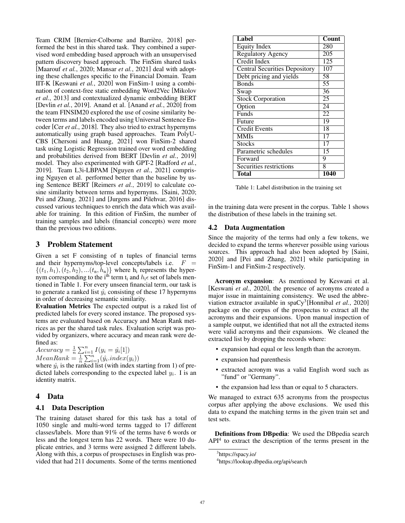Team CRIM [Bernier-Colborne and Barrière, 2018] performed the best in this shared task. They combined a supervised word embedding based approach with an unsupervised pattern discovery based approach. The FinSim shared tasks [Maarouf *et al.*, 2020; Mansar *et al.*, 2021] deal with adopting these challenges specific to the Financial Domain. Team IIT-K [Keswani *et al.*, 2020] won FinSim-1 using a combination of context-free static embedding Word2Vec [Mikolov *et al.*, 2013] and contextualized dynamic embedding BERT [Devlin *et al.*, 2019]. Anand et al. [Anand *et al.*, 2020] from the team FINSIM20 explored the use of cosine similarity between terms and labels encoded using Universal Sentence Encoder [Cer *et al.*, 2018]. They also tried to extract hypernyms automatically using graph based approaches. Team PolyU-CBS [Chersoni and Huang, 2021] won FinSim-2 shared task using Logistic Regression trained over word embedding and probabilities derived from BERT [Devlin *et al.*, 2019] model. They also experimented with GPT-2 [Radford *et al.*, 2019]. Team L3i-LBPAM [Nguyen *et al.*, 2021] comprising Nguyen et al. performed better than the baseline by using Sentence BERT [Reimers *et al.*, 2019] to calculate cosine similarity between terms and hypernyms. [Saini, 2020; Pei and Zhang, 2021] and [Jurgens and Pilehvar, 2016] discussed various techniques to enrich the data which was available for training. In this edition of FinSim, the number of training samples and labels (financial concepts) were more than the previous two editions.

#### 3 Problem Statement

Given a set F consisting of n tuples of financial terms and their hypernyms/top-level concepts/labels i.e.  $F =$  $\{(t_1, h_1), (t_2, h_2), \dots (t_n, h_n)\}\$  where  $h_i$  represents the hypernym corresponding to the i<sup>th</sup> term t<sub>i</sub> and  $h_i \epsilon$  set of labels mentioned in Table 1. For every unseen financial term, our task is to generate a ranked list  $\hat{y}_i$  consisting of these 17 hypernyms in order of decreasing semantic similarity.

Evaluation Metrics The expected output is a raked list of predicted labels for every scored instance. The proposed systems are evaluated based on Accuracy and Mean Rank metrices as per the shared task rules. Evaluation script was provided by organizers, where accuracy and mean rank were defined as:

Accuracy =  $\frac{1}{n} \sum_{i=1}^{n} I(y_i = \hat{y}_i[1])$  $MeanRank = \frac{1}{n} \sum_{i=1}^{n} (\hat{y}_i.index(y_i))$ 

where  $\hat{y}_i$  is the ranked list (with index starting from 1) of predicted labels corresponding to the expected label  $y_i$ . I is an identity matrix.

## 4 Data

#### 4.1 Data Description

The training dataset shared for this task has a total of 1050 single and multi-word terms tagged to 17 different classes/labels. More than 91% of the terms have 6 words or less and the longest term has 22 words. There were 10 duplicate entries, and 3 terms were assigned 2 different labels. Along with this, a corpus of prospectuses in English was provided that had 211 documents. Some of the terms mentioned

| <b>Label</b>                         | Count |
|--------------------------------------|-------|
| <b>Equity Index</b>                  | 280   |
| <b>Regulatory Agency</b>             | 205   |
| Credit Index                         | 125   |
| <b>Central Securities Depository</b> | 107   |
| Debt pricing and yields              | 58    |
| <b>Bonds</b>                         | 55    |
| Swap                                 | 36    |
| <b>Stock Corporation</b>             | 25    |
| Option                               | 24    |
| Funds                                | 22.   |
| Future                               | 19    |
| <b>Credit Events</b>                 | 18    |
| <b>MMIs</b>                          | 17    |
| <b>Stocks</b>                        | 17    |
| Parametric schedules                 | 15    |
| Forward                              | 9     |
| Securities restrictions              | 8     |
| Total                                | 1040  |

Table 1: Label distribution in the training set

in the training data were present in the corpus. Table 1 shows the distribution of these labels in the training set.

#### 4.2 Data Augmentation

Since the majority of the terms had only a few tokens, we decided to expand the terms wherever possible using various sources. This approach had also been adopted by [Saini, 2020] and [Pei and Zhang, 2021] while participating in FinSim-1 and FinSim-2 respectively.

Acronym expansion: As mentioned by Keswani et al. [Keswani *et al.*, 2020], the presence of acronyms created a major issue in maintaining consistency. We used the abbreviation extractor available in spaCy3 [Honnibal *et al.*, 2020] package on the corpus of the prospectus to extract all the acronyms and their expansions. Upon manual inspection of a sample output, we identified that not all the extracted items were valid acronyms and their expansions. We cleaned the extracted list by dropping the records where:

- expansion had equal or less length than the acronym.
- expansion had parenthesis
- extracted acronym was a valid English word such as "fund" or "Germany".
- the expansion had less than or equal to 5 characters.

We managed to extract 635 acronyms from the prospectus corpus after applying the above exclusions. We used this data to expand the matching terms in the given train set and test sets.

Definitions from DBpedia: We used the DBpedia search API<sup>4</sup> to extract the description of the terms present in the

<sup>3</sup> https://spacy.io/

<sup>4</sup> https://lookup.dbpedia.org/api/search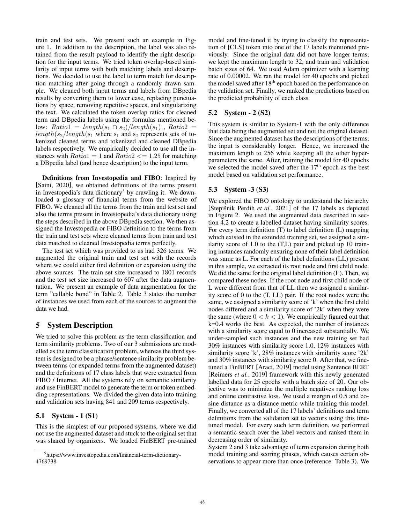train and test sets. We present such an example in Figure 1. In addition to the description, the label was also retained from the result payload to identify the right description for the input terms. We tried token overlap-based similarity of input terms with both matching labels and descriptions. We decided to use the label to term match for description matching after going through a randomly drawn sample. We cleaned both input terms and labels from DBpedia results by converting them to lower case, replacing punctuations by space, removing repetitive spaces, and singularizing the text. We calculated the token overlap ratios for cleaned term and DBpedia labels using the formulas mentioned below:  $Ratio1 = length(s_1 \cap s_2)/length(s_1)$ ,  $Ratio2 =$  $length(s_2/length(s_1 \text{ where } s_1 \text{ and } s_2 \text{ represents sets of to-}$ kenized cleaned terms and tokenized and cleaned DBpedia labels respectively. We empirically decided to use all the instances with  $Ratio1 = 1$  and  $Ratio2 \le 1.25$  for matching a DBpedia label (and hence description) to the input term.

Definitions from Investopedia and FIBO: Inspired by [Saini, 2020], we obtained definitions of the terms present in Investopedia's data dictionary<sup>5</sup> by crawling it. We downloaded a glossary of financial terms from the website of FIBO. We cleaned all the terms from the train and test set and also the terms present in Investopedia's data dictionary using the steps described in the above DBpedia section. We then assigned the Investopedia or FIBO definition to the terms from the train and test sets where cleaned terms from train and test data matched to cleaned Investopedia terms perfectly.

The test set which was provided to us had 326 terms. We augmented the original train and test set with the records where we could either find definition or expansion using the above sources. The train set size increased to 1801 records and the test set size increased to 607 after the data augmentation. We present an example of data augmentation for the term "callable bond" in Table 2. Table 3 states the number of instances we used from each of the sources to augment the data we had.

## 5 System Description

We tried to solve this problem as the term classification and term similarity problems. Two of our 3 submissions are modelled as the term classification problem, whereas the third system is designed to be a phrase/sentence similarity problem between terms (or expanded terms from the augmented dataset) and the definitions of 17 class labels that were extracted from FIBO / Internet. All the systems rely on semantic similarity and use FinBERT model to generate the term or token embedding representations. We divided the given data into training and validation sets having 841 and 209 terms respectively.

## 5.1 System - 1 (S1)

This is the simplest of our proposed systems, where we did not use the augmented dataset and stuck to the original set that was shared by organizers. We loaded FinBERT pre-trained model and fine-tuned it by trying to classify the representation of [CLS] token into one of the 17 labels mentioned previously. Since the original data did not have longer terms, we kept the maximum length to 32, and train and validation batch sizes of 64. We used Adam optimizer with a learning rate of 0.00002. We ran the model for 40 epochs and picked the model saved after 18<sup>th</sup> epoch based on the performance on the validation set. Finally, we ranked the predictions based on the predicted probability of each class.

#### 5.2 System - 2 (S2)

This system is similar to System-1 with the only difference that data being the augmented set and not the original dataset. Since the augmented dataset has the descriptions of the terms, the input is considerably longer. Hence, we increased the maximum length to 256 while keeping all the other hyperparameters the same. After, training the model for 40 epochs we selected the model saved after the 17<sup>th</sup> epoch as the best model based on validation set performance.

#### 5.3 System -3 (S3)

We explored the FIBO ontology to understand the hierarchy [Stepišnik Perdih et al., 2021] of the 17 labels as depicted in Figure 2. We used the augmented data described in section 4.2 to create a labelled dataset having similarity scores. For every term definition (T) to label definition (L) mapping which existed in the extended training set, we assigned a similarity score of 1.0 to the (T,L) pair and picked up 10 training instances randomly ensuring none of their label definition was same as L. For each of the label definitions (LL) present in this sample, we extracted its root node and first child node. We did the same for the original label definition (L). Then, we compared these nodes. If the root node and first child node of L were different from that of LL then we assigned a similarity score of 0 to the (T, LL) pair. If the root nodes were the same, we assigned a similarity score of 'k' when the first child nodes differed and a similarity score of '2k' when they were the same (where  $0 < k < 1$ ). We empirically figured out that k=0.4 works the best. As expected, the number of instances with a similarity score equal to 0 increased substantially. We under-sampled such instances and the new training set had 30% instances with similarity score 1.0, 12% instances with similarity score 'k', 28% instances with similarity score '2k' and 30% instances with similarity score 0. After that, we finetuned a FinBERT [Araci, 2019] model using Sentence BERT [Reimers *et al.*, 2019] framework with this newly generated labelled data for 25 epochs with a batch size of 20. Our objective was to minimize the multiple negatives ranking loss and online contrastive loss. We used a margin of 0.5 and cosine distance as a distance metric while training this model. Finally, we converted all of the 17 labels' definitions and term definitions from the validation set to vectors using this finetuned model. For every such term definition, we performed a semantic search over the label vectors and ranked them in decreasing order of similarity.

System 2 and 3 take advantage of term expansion during both model training and scoring phases, which causes certain observations to appear more than once (reference: Table 3). We

<sup>5</sup> https://www.investopedia.com/financial-term-dictionary-4769738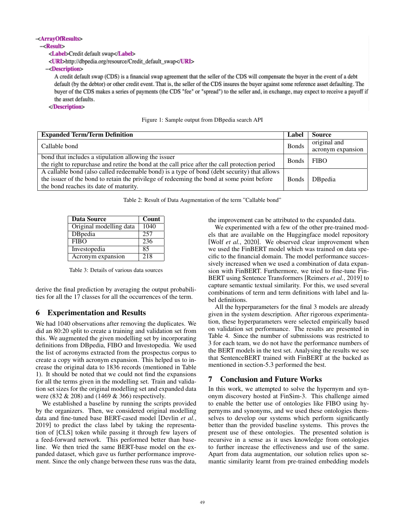#### -<ArravOfResults>

#### $-<$ Result $>$

<Label>Credit default swap</Label>

<URI>http://dbpedia.org/resource/Credit\_default\_swap</URI>

-<Description>

A credit default swap (CDS) is a financial swap agreement that the seller of the CDS will compensate the buyer in the event of a debt default (by the debtor) or other credit event. That is, the seller of the CDS insures the buyer against some reference asset defaulting. The buyer of the CDS makes a series of payments (the CDS "fee" or "spread") to the seller and, in exchange, may expect to receive a payoff if the asset defaults.

#### </Description>

Figure 1: Sample output from DBpedia search API

| <b>Expanded Term/Term Definition</b>                                                           | Label        | <b>Source</b>     |  |
|------------------------------------------------------------------------------------------------|--------------|-------------------|--|
| Callable bond                                                                                  |              | original and      |  |
|                                                                                                |              | acronym expansion |  |
| bond that includes a stipulation allowing the issuer                                           |              | <b>FIBO</b>       |  |
| the right to repurchase and retire the bond at the call price after the call protection period |              |                   |  |
| A callable bond (also called redeemable bond) is a type of bond (debt security) that allows    |              |                   |  |
| the issuer of the bond to retain the privilege of redeeming the bond at some point before      | <b>Bonds</b> | <b>D</b> Bpedia   |  |
| the bond reaches its date of maturity.                                                         |              |                   |  |

Table 2: Result of Data Augmentation of the term "Callable bond"

| Data Source             | Count |  |  |
|-------------------------|-------|--|--|
| Original modelling data | 1040  |  |  |
| DBpedia                 | 257   |  |  |
| <b>FIBO</b>             | 236   |  |  |
| Investopedia            | 85    |  |  |
| Acronym expansion       | 218   |  |  |

Table 3: Details of various data sources

derive the final prediction by averaging the output probabilities for all the 17 classes for all the occurrences of the term.

## 6 Experimentation and Results

We had 1040 observations after removing the duplicates. We did an 80:20 split to create a training and validation set from this. We augmented the given modelling set by incorporating definitions from DBpedia, FIBO and Investopedia. We used the list of acronyms extracted from the prospectus corpus to create a copy with acronym expansion. This helped us to increase the original data to 1836 records (mentioned in Table 1). It should be noted that we could not find the expansions for all the terms given in the modelling set. Train and validation set sizes for the original modelling set and expanded data were (832 & 208) and (1469 & 366) respectively.

We established a baseline by running the scripts provided by the organizers. Then, we considered original modelling data and fine-tuned base BERT-cased model [Devlin *et al.*, 2019] to predict the class label by taking the representation of [CLS] token while passing it through few layers of a feed-forward network. This performed better than baseline. We then tried the same BERT-base model on the expanded dataset, which gave us further performance improvement. Since the only change between these runs was the data, the improvement can be attributed to the expanded data.

We experimented with a few of the other pre-trained models that are available on the Huggingface model repository [Wolf *et al.*, 2020]. We observed clear improvement when we used the FinBERT model which was trained on data specific to the financial domain. The model performance successively increased when we used a combination of data expansion with FinBERT. Furthermore, we tried to fine-tune Fin-BERT using Sentence Transformers [Reimers *et al.*, 2019] to capture semantic textual similarity. For this, we used several combinations of term and term definitions with label and label definitions.

All the hyperparameters for the final 3 models are already given in the system description. After rigorous experimentation, these hyperparameters were selected empirically based on validation set performance. The results are presented in Table 4. Since the number of submissions was restricted to 3 for each team, we do not have the performance numbers of the BERT models in the test set. Analysing the results we see that SentenceBERT trained with FinBERT at the backed as mentioned in section-5.3 performed the best.

## 7 Conclusion and Future Works

In this work, we attempted to solve the hypernym and synonym discovery hosted at FinSim-3. This challenge aimed to enable the better use of ontologies like FIBO using hypernyms and synonyms, and we used these ontologies themselves to develop our systems which perform significantly better than the provided baseline systems. This proves the present use of these ontologies. The presented solution is recursive in a sense as it uses knowledge from ontologies to further increase the effectiveness and use of the same. Apart from data augmentation, our solution relies upon semantic similarity learnt from pre-trained embedding models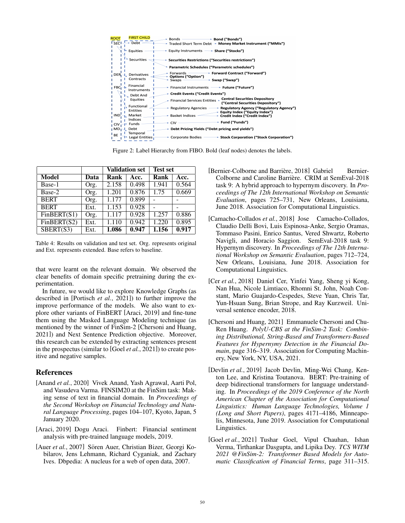| <b>FIRST CHILD</b><br><b>ROOT</b><br>$\overline{\text{F}}$ <sub>SFC</sub> $\overline{\text{F}}$<br>$\rightarrow$ Debt $\sim$ | $\longrightarrow$ Bond ("Bonds")<br>$\overline{\phantom{1}}$ Bonds ——<br>→ Traded Short Term Debt → Money Market Instrument ("MMIs") |
|------------------------------------------------------------------------------------------------------------------------------|--------------------------------------------------------------------------------------------------------------------------------------|
| <b>Equities</b>                                                                                                              | <b>→ Equity Instruments – → Share ("Stocks")</b>                                                                                     |
| Securities                                                                                                                   | → Securities Restrictions ("Securities restrictions")                                                                                |
|                                                                                                                              | Parametric Schedules ("Parametric schedules")                                                                                        |
| DER <sub>1</sub> L. Derivatives<br>Contracts                                                                                 | → Forward Contract ("Forward")<br>Forwards<br>► Options ("Option")<br>* Swap ("Swap")<br>$\rightarrow$ Swaps $\rightarrow$           |
| Financial<br>$FBC_1 +$<br>Instruments                                                                                        | Financial Instruments - Future ("Future")                                                                                            |
| Debt And                                                                                                                     | → Credit Events ("Credit Events")                                                                                                    |
| Equities                                                                                                                     | Financial Services Entities Lentral Securities Depository<br>("Central Securities Depository")                                       |
| Functional<br><b>Entities</b>                                                                                                | <b>★ Regulatory Agencies - A Regulatory Agency ("Regulatory Agency")</b><br>→ Equity Index ("Equity Index")                          |
| Market<br>IND                                                                                                                | → Basket Indices -<br>→ Credit Index ("Credit Index")                                                                                |
| Indices<br><b>Funds</b>                                                                                                      | $\longrightarrow$ Fund ("Funds")<br>$+$ CIV -                                                                                        |
| ∎MD <sub>I</sub> J. Debt                                                                                                     | + Debt Pricing Yields ("Debt pricing and yields")                                                                                    |
| Temporal<br><sup>I</sup> BE<br>Legal Entities                                                                                | → Corporate Bodies – → Stock Corporation ("Stock Corporation")                                                                       |

Figure 2: Label Hierarchy from FIBO. Bold (leaf nodes) denotes the labels.

|              |      | <b>Validation set</b> |       | <b>Test set</b> |       |
|--------------|------|-----------------------|-------|-----------------|-------|
| <b>Model</b> | Data | Rank                  | Acc.  | Rank            | Acc.  |
| Base-1       | Org. | 2.158                 | 0.498 | 1.941           | 0.564 |
| Base-2       | Org. | 1.201                 | 0.876 | 1.75            | 0.669 |
| <b>BERT</b>  | Org. | 1.177                 | 0.899 |                 |       |
| <b>BERT</b>  | Ext. | 1.153                 | 0.928 |                 |       |
| FinBERT(S1)  | Org. | 1.117                 | 0.928 | 1.257           | 0.886 |
| FinBERT(S2)  | Ext. | 1.110                 | 0.942 | 1.220           | 0.895 |
| SBERT(S3)    | Ext. | 1.086                 | 0.947 | 1.156           | 0.917 |

Table 4: Results on validation and test set. Org. represents original and Ext. represents extended. Base refers to baseline.

that were learnt on the relevant domain. We observed the clear benefits of domain specific pretraining during the experimentation.

In future, we would like to explore Knowledge Graphs (as described in [Portisch *et al.*, 2021]) to further improve the improve performance of the models. We also want to explore other variants of FinBERT [Araci, 2019] and fine-tune them using the Masked Language Modeling technique (as mentioned by the winner of FinSim-2 [Chersoni and Huang, 2021]) and Next Sentence Prediction objective. Moreover, this research can be extended by extracting sentences present in the prospectus (similar to [Goel *et al.*, 2021]) to create positive and negative samples.

## References

- [Anand *et al.*, 2020] Vivek Anand, Yash Agrawal, Aarti Pol, and Vasudeva Varma. FINSIM20 at the FinSim task: Making sense of text in financial domain. In *Proceedings of the Second Workshop on Financial Technology and Natural Language Processing*, pages 104–107, Kyoto, Japan, 5 January 2020.
- [Araci, 2019] Dogu Araci. Finbert: Financial sentiment analysis with pre-trained language models, 2019.
- [Auer et al., 2007] Sören Auer, Christian Bizer, Georgi Kobilarov, Jens Lehmann, Richard Cyganiak, and Zachary Ives. Dbpedia: A nucleus for a web of open data, 2007.
- [Bernier-Colborne and Barrière, 2018] Gabriel Bernier-Colborne and Caroline Barriere. CRIM at SemEval-2018 ` task 9: A hybrid approach to hypernym discovery. In *Proceedings of The 12th International Workshop on Semantic Evaluation*, pages 725–731, New Orleans, Louisiana, June 2018. Association for Computational Linguistics.
- [Camacho-Collados *et al.*, 2018] Jose Camacho-Collados, Claudio Delli Bovi, Luis Espinosa-Anke, Sergio Oramas, Tommaso Pasini, Enrico Santus, Vered Shwartz, Roberto Navigli, and Horacio Saggion. SemEval-2018 task 9: Hypernym discovery. In *Proceedings of The 12th International Workshop on Semantic Evaluation*, pages 712–724, New Orleans, Louisiana, June 2018. Association for Computational Linguistics.
- [Cer *et al.*, 2018] Daniel Cer, Yinfei Yang, Sheng yi Kong, Nan Hua, Nicole Limtiaco, Rhomni St. John, Noah Constant, Mario Guajardo-Cespedes, Steve Yuan, Chris Tar, Yun-Hsuan Sung, Brian Strope, and Ray Kurzweil. Universal sentence encoder, 2018.
- [Chersoni and Huang, 2021] Emmanuele Chersoni and Chu-Ren Huang. *PolyU-CBS at the FinSim-2 Task: Combining Distributional, String-Based and Transformers-Based Features for Hypernymy Detection in the Financial Domain*, page 316–319. Association for Computing Machinery, New York, NY, USA, 2021.
- [Devlin *et al.*, 2019] Jacob Devlin, Ming-Wei Chang, Kenton Lee, and Kristina Toutanova. BERT: Pre-training of deep bidirectional transformers for language understanding. In *Proceedings of the 2019 Conference of the North American Chapter of the Association for Computational Linguistics: Human Language Technologies, Volume 1 (Long and Short Papers)*, pages 4171–4186, Minneapolis, Minnesota, June 2019. Association for Computational Linguistics.
- [Goel *et al.*, 2021] Tushar Goel, Vipul Chauhan, Ishan Verma, Tirthankar Dasgupta, and Lipika Dey. *TCS WITM 2021 @FinSim-2: Transformer Based Models for Automatic Classification of Financial Terms*, page 311–315.